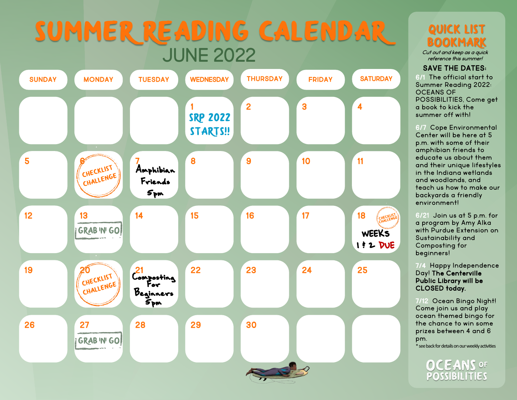## SUMMER READING CALENDAR JUNE 2022



### **QUICK LIST BOOKMARK**

Cut out and keep as a quick reference this summer!

### SAVE THE DATES:

Summer Reading 2022: OCEANS OF POSSIBILITIES, Come get a book to kick the summer off with!

6/7 Cope Environmental Center will be here at 5 p.m. with some of their amphibian friends to educate us about them and their unique lifestyles in the Indiana wetlands and woodlands, and teach us how to make our backyards a friendly environment!

6/21 Join us at 5 p.m. for a program by Amy Alka with Purdue Extension on Sustainability and Composting for beginners!

Happy Independence Day! The Centerville Public Library will be CLOSED today.

7/12 Ocean Bingo Night! Come join us and play ocean themed bingo for the chance to win some prizes between 4 and 6 pm.

\* see back for details on our weekly activities